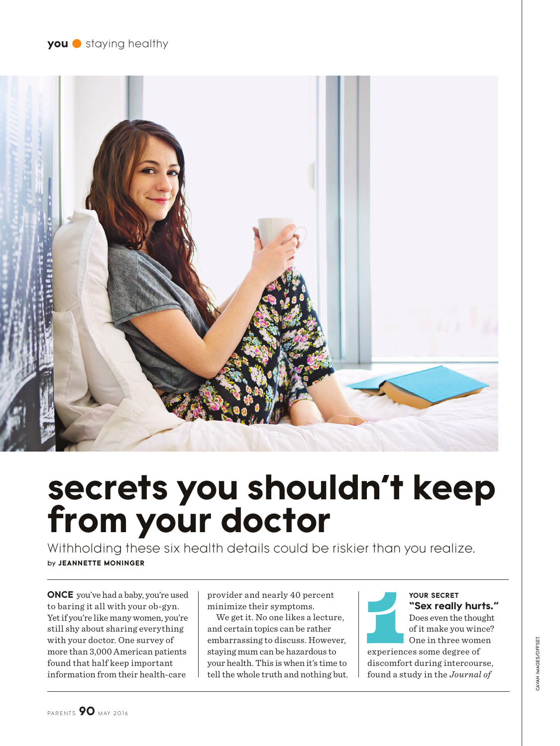

# **secrets you shouldn't keep from your doctor**

Withholding these six health details could be riskier than you realize. by **JEANNETTE MONINGER**

**ONCE** you've had a baby, you're used to baring it all with your ob-gyn. Yet if you're like many women, you're still shy about sharing everything with your doctor. One survey of more than 3,000 American patients found that half keep important information from their health-care

provider and nearly 40 percent minimize their symptoms.

We get it. No one likes a lecture, and certain topics can be rather embarrassing to discuss. However, staying mum can be hazardous to your health. This is when it's time to tell the whole truth and nothing but.



YOUR SECRET<br>
"Sex really hur<br>
Does even the thou<br>
of it make you win<br>
One in three wom<br>
experiences some degree of **YOUR SECRET "Sex really hurts."**  Does even the thought of it make you wince?

One in three women

discomfort during intercourse, found a study in the *Journal of*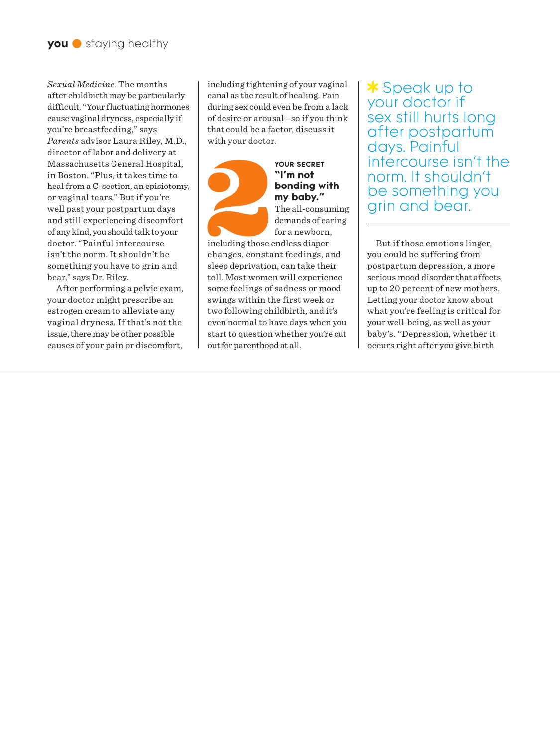*Sexual Medicine*. The months after childbirth may be particularly difficult. "Your fluctuating hormones cause vaginal dryness, especially if you're breastfeeding," says *Parents* advisor Laura Riley, M.D., director of labor and delivery at Massachusetts General Hospital, in Boston. "Plus, it takes time to heal from a C-section, an episiotomy, or vaginal tears." But if you're well past your postpartum days and still experiencing discomfort of any kind, you should talk to your doctor. "Painful intercourse isn't the norm. It shouldn't be something you have to grin and bear," says Dr. Riley.

After performing a pelvic exam, your doctor might prescribe an estrogen cream to alleviate any vaginal dryness. If that's not the issue, there may be other possible causes of your pain or discomfort,

including tightening of your vaginal canal as the result of healing. Pain during sex could even be from a lack of desire or arousal—so if you think that could be a factor, discuss it with your doctor.

# **YOUR SECRET**<br> **1'm not**<br> **bonding w**<br> **my baby."**<br>
The all-consumed and the form a newborn<br>
including those endless diaper<br>
changes, constant feedings, **"I'm not bonding with my baby."** The all-consuming demands of caring for a newborn,

including those endless diaper changes, constant feedings, and sleep deprivation, can take their toll. Most women will experience some feelings of sadness or mood swings within the first week or two following childbirth, and it's even normal to have days when you start to question whether you're cut out for parenthood at all.

\* Speak up to your doctor if sex still hurts long after postpartum days. Painful intercourse isn't the norm. It shouldn't be something you grin and bear.

But if those emotions linger, you could be suffering from postpartum depression, a more serious mood disorder that affects up to 20 percent of new mothers. Letting your doctor know about what you're feeling is critical for your well-being, as well as your baby's. "Depression, whether it occurs right after you give birth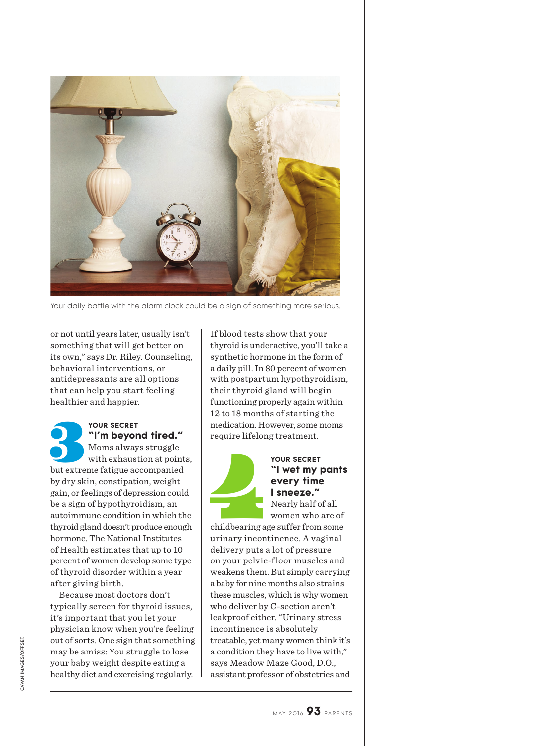

Your daily battle with the alarm clock could be a sign of something more serious.

or not until years later, usually isn't something that will get better on its own," says Dr. Riley. Counseling, behavioral interventions, or antidepressants are all options that can help you start feeling healthier and happier.

**1879 YOUR SECRET**<br> **17 m beyond tired."**<br>
Moms always struggle<br>
with exhaustion at point<br>
but extreme fatigue accompanied **"I'm beyond tired."**  Moms always struggle with exhaustion at points, by dry skin, constipation, weight gain, or feelings of depression could be a sign of hypothyroidism, an autoimmune condition in which the thyroid gland doesn't produce enough hormone. The National Institutes of Health estimates that up to 10 percent of women develop some type of thyroid disorder within a year after giving birth.

Because most doctors don't typically screen for thyroid issues, it's important that you let your physician know when you're feeling out of sorts. One sign that something may be amiss: You struggle to lose your baby weight despite eating a healthy diet and exercising regularly.

If blood tests show that your thyroid is underactive, you'll take a synthetic hormone in the form of a daily pill. In 80 percent of women with postpartum hypothyroidism, their thyroid gland will begin functioning properly again within 12 to 18 months of starting the medication. However, some moms require lifelong treatment.



### **"I wet my pants every time I sneeze."**  Nearly half of all

women who are of childbearing age suffer from some urinary incontinence. A vaginal delivery puts a lot of pressure on your pelvic-floor muscles and weakens them. But simply carrying a baby for nine months also strains these muscles, which is why women who deliver by C-section aren't leakproof either. "Urinary stress incontinence is absolutely treatable, yet many women think it's a condition they have to live with," says Meadow Maze Good, D.O., assistant professor of obstetrics and